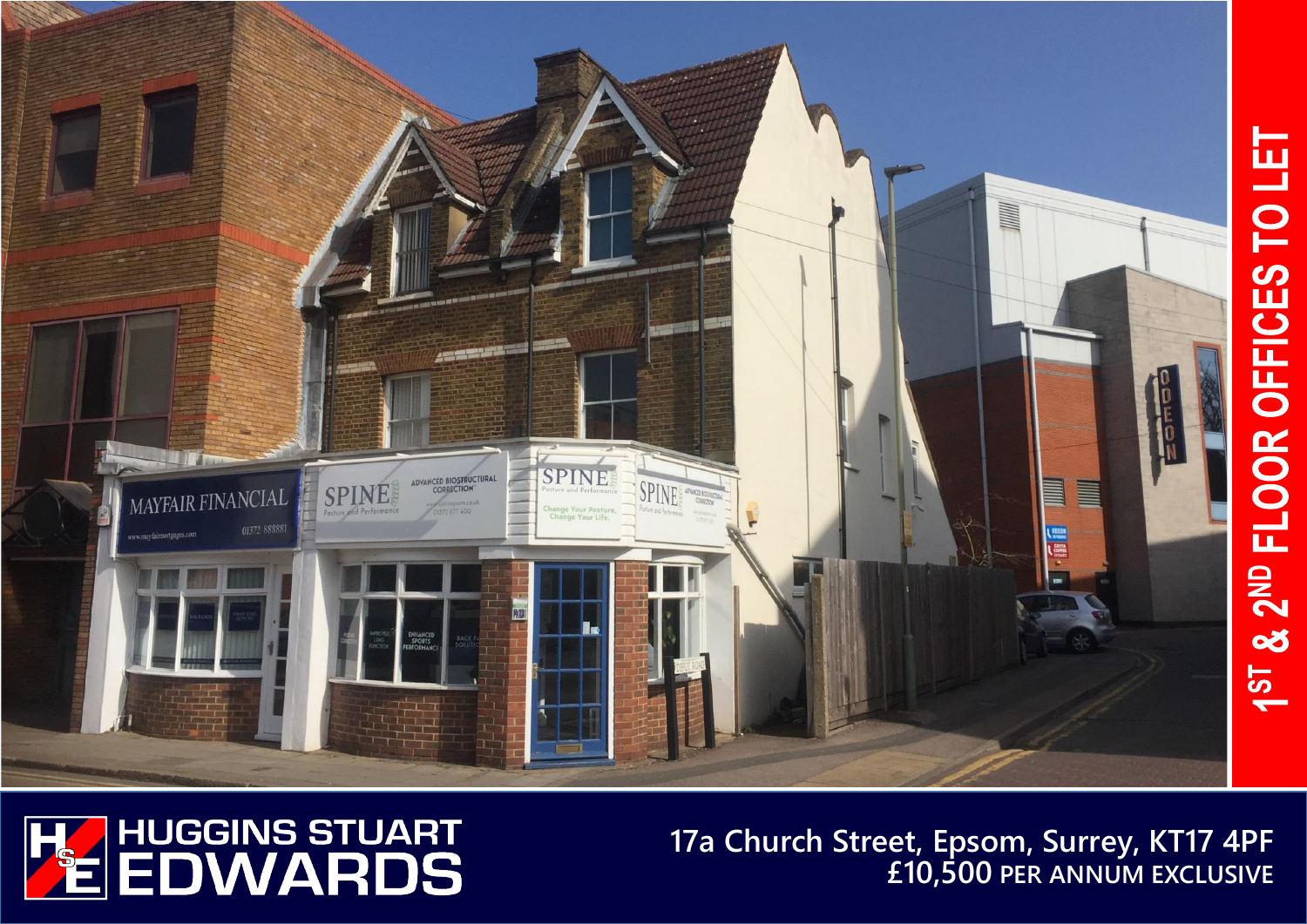



# **17a Church Street, Epsom, Surrey, KT17 4PF £10,500 PER ANNUM EXCLUSIVE**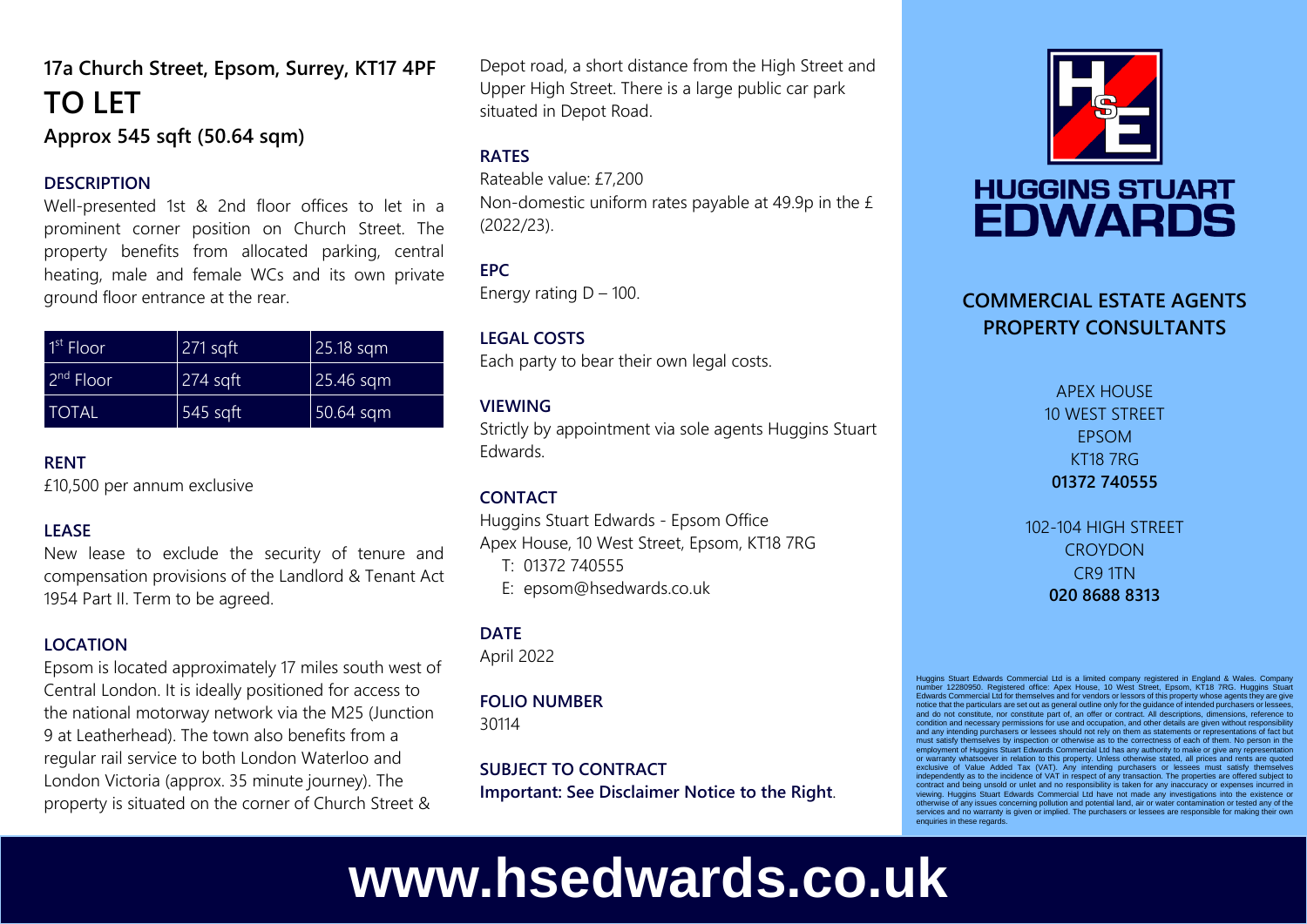# **17a Church Street, Epsom, Surrey, KT17 4PF TO LET Approx 545 sqft (50.64 sqm)**

#### **DESCRIPTION**

Well-presented 1st & 2nd floor offices to let in a prominent corner position on Church Street. The property benefits from allocated parking, central heating, male and female WCs and its own private ground floor entrance at the rear.

| $1st$ Floori | $271$ sqft | $25.18$ sqm |
|--------------|------------|-------------|
| $2nd$ Floor  | $274$ sqft | $25.46$ sqm |
| <b>TOTAL</b> | 545 sqft   | 50.64 sqm   |

#### **RENT**

£10,500 per annum exclusive

## **LEASE**

New lease to exclude the security of tenure and compensation provisions of the Landlord & Tenant Act 1954 Part II. Term to be agreed.

## **LOCATION**

Epsom is located approximately 17 miles south west of Central London. It is ideally positioned for access to the national motorway network via the M25 (Junction 9 at Leatherhead). The town also benefits from a regular rail service to both London Waterloo and London Victoria (approx. 35 minute journey). The property is situated on the corner of Church Street &

Depot road, a short distance from the High Street and Upper High Street. There is a large public car park situated in Depot Road.

# **RATES**

Rateable value: £7,200 Non-domestic uniform rates payable at 49.9p in the £ (2022/23).

# **EPC**

Energy rating  $D - 100$ .

#### **LEGAL COSTS**

Each party to bear their own legal costs.

#### **VIEWING**

Strictly by appointment via sole agents Huggins Stuart Edwards.

# **CONTACT**

Huggins Stuart Edwards - Epsom Office Apex House, 10 West Street, Epsom, KT18 7RG T: 01372 740555 E: epsom@hsedwards.co.uk

# **DATE**

April 2022

# **FOLIO NUMBER**

30114

**SUBJECT TO CONTRACT Important: See Disclaimer Notice to the Right**.



# **HUGGINS STUART EDWARDS**

# **COMMERCIAL ESTATE AGENTS PROPERTY CONSULTANTS**

APEX HOUSE 10 WEST STREET EPSOM KT18 7RG **01372 740555**

102-104 HIGH STREET **CROYDON** CR9 1TN **020 8688 8313**

Huggins Stuart Edwards Commercial Ltd is a limited company registered in England & Wales. Company number 12280950. Registered office: Apex House, 10 West Street, Epsom, KT18 7RG. Huggins Stuart Edwards Commercial Ltd for themselves and for vendors or lessors of this property whose agents they are give notice that the particulars are set out as general outline only for the guidance of intended purchasers or lessees, and do not constitute, nor constitute part of, an offer or contract. All descriptions, dimensions, reference to condition and necessary permissions for use and occupation, and other details are given without responsibility and any intending purchasers or lessees should not rely on them as statements or representations of fact but must satisfy themselves by inspection or otherwise as to the correctness of each of them. No person in the employment of Huggins Stuart Edwards Commercial Ltd has any authority to make or give any representation or warranty whatsoever in relation to this property. Unless otherwise stated, all prices and rents are quoted<br>exclusive of Value Added Tax (VAT). Any intending purchasers or lessees must satisfy themselves<br>independently as viewing. Huggins Stuart Edwards Commercial Ltd have not made any investigations into the existence or otherwise of any issues concerning pollution and potential land, air or water contamination or tested any of the services and no warranty is given or implied. The purchasers or lessees are responsible for making their own enquiries in these regards.

# **www.hsedwards.co.uk**